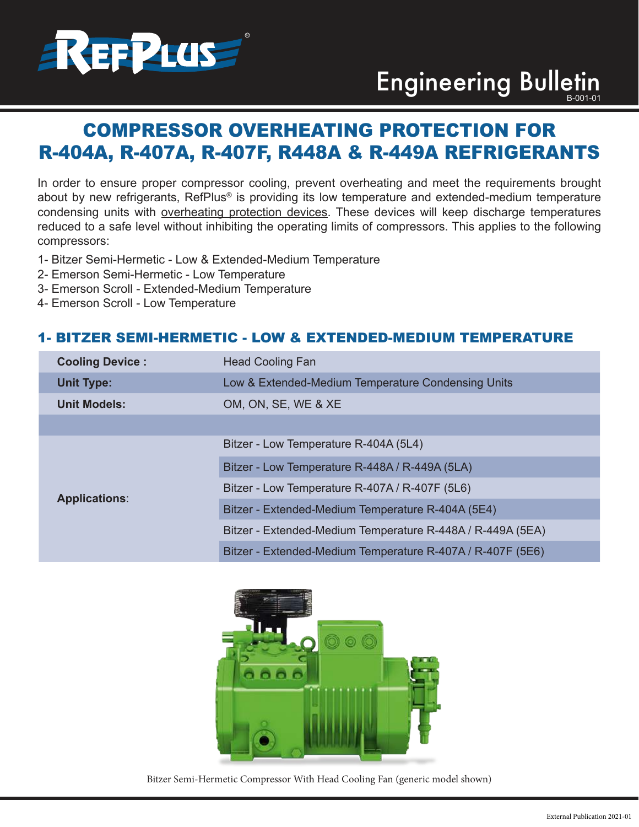

# Engineering Bulletin

# COMPRESSOR OVERHEATING PROTECTION FOR R-404A, R-407A, R-407F, R448A & R-449A REFRIGERANTS

In order to ensure proper compressor cooling, prevent overheating and meet the requirements brought about by new refrigerants, RefPlus® is providing its low temperature and extended-medium temperature condensing units with overheating protection devices. These devices will keep discharge temperatures reduced to a safe level without inhibiting the operating limits of compressors. This applies to the following compressors:

- 1- Bitzer Semi-Hermetic Low & Extended-Medium Temperature
- 2- Emerson Semi-Hermetic Low Temperature
- 3- Emerson Scroll Extended-Medium Temperature
- 4- Emerson Scroll Low Temperature

# 1- BITZER SEMI-HERMETIC - LOW & EXTENDED-MEDIUM TEMPERATURE

| <b>Cooling Device:</b> | <b>Head Cooling Fan</b>                                    |
|------------------------|------------------------------------------------------------|
| <b>Unit Type:</b>      | Low & Extended-Medium Temperature Condensing Units         |
| <b>Unit Models:</b>    | OM, ON, SE, WE & XE                                        |
|                        |                                                            |
| <b>Applications:</b>   | Bitzer - Low Temperature R-404A (5L4)                      |
|                        | Bitzer - Low Temperature R-448A / R-449A (5LA)             |
|                        | Bitzer - Low Temperature R-407A / R-407F (5L6)             |
|                        | Bitzer - Extended-Medium Temperature R-404A (5E4)          |
|                        | Bitzer - Extended-Medium Temperature R-448A / R-449A (5EA) |
|                        | Bitzer - Extended-Medium Temperature R-407A / R-407F (5E6) |



Bitzer Semi-Hermetic Compressor With Head Cooling Fan (generic model shown)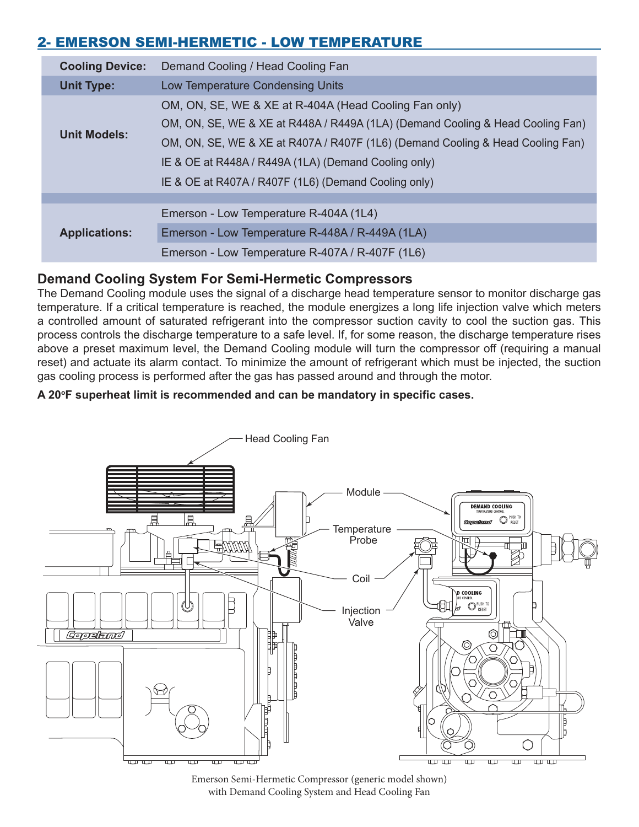# 2- EMERSON SEMI-HERMETIC - LOW TEMPERATURE

| <b>Cooling Device:</b> | Demand Cooling / Head Cooling Fan                                                                                                                                                                                                                                                                                                         |
|------------------------|-------------------------------------------------------------------------------------------------------------------------------------------------------------------------------------------------------------------------------------------------------------------------------------------------------------------------------------------|
| <b>Unit Type:</b>      | Low Temperature Condensing Units                                                                                                                                                                                                                                                                                                          |
| <b>Unit Models:</b>    | OM, ON, SE, WE & XE at R-404A (Head Cooling Fan only)<br>OM, ON, SE, WE & XE at R448A / R449A (1LA) (Demand Cooling & Head Cooling Fan)<br>OM, ON, SE, WE & XE at R407A / R407F (1L6) (Demand Cooling & Head Cooling Fan)<br>IE & OE at R448A / R449A (1LA) (Demand Cooling only)<br>IE & OE at R407A / R407F (1L6) (Demand Cooling only) |
|                        |                                                                                                                                                                                                                                                                                                                                           |
| <b>Applications:</b>   | Emerson - Low Temperature R-404A (1L4)                                                                                                                                                                                                                                                                                                    |
|                        | Emerson - Low Temperature R-448A / R-449A (1LA)                                                                                                                                                                                                                                                                                           |
|                        | Emerson - Low Temperature R-407A / R-407F (1L6)                                                                                                                                                                                                                                                                                           |

# **Demand Cooling System For Semi-Hermetic Compressors**

The Demand Cooling module uses the signal of a discharge head temperature sensor to monitor discharge gas temperature. If a critical temperature is reached, the module energizes a long life injection valve which meters a controlled amount of saturated refrigerant into the compressor suction cavity to cool the suction gas. This process controls the discharge temperature to a safe level. If, for some reason, the discharge temperature rises above a preset maximum level, the Demand Cooling module will turn the compressor off (requiring a manual reset) and actuate its alarm contact. To minimize the amount of refrigerant which must be injected, the suction gas cooling process is performed after the gas has passed around and through the motor.

#### **A 20<sup>o</sup>F superheat limit is recommended and can be mandatory in specific cases.**



Emerson Semi-Hermetic Compressor (generic model shown) with Demand Cooling System and Head Cooling Fan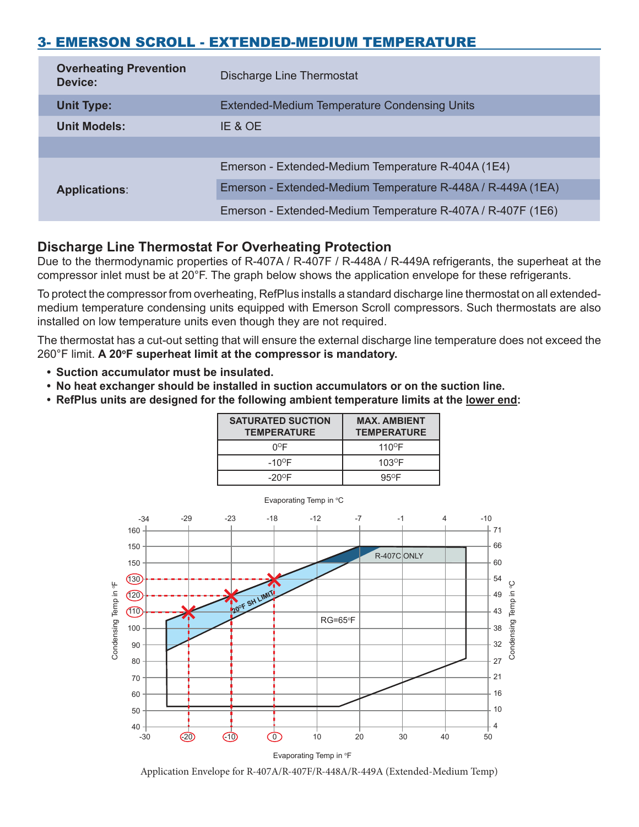# 3- EMERSON SCROLL - EXTENDED-MEDIUM TEMPERATURE

| <b>Overheating Prevention</b><br>Device: | Discharge Line Thermostat                                   |
|------------------------------------------|-------------------------------------------------------------|
| <b>Unit Type:</b>                        | <b>Extended-Medium Temperature Condensing Units</b>         |
| <b>Unit Models:</b>                      | IE & OE                                                     |
|                                          |                                                             |
| <b>Applications:</b>                     | Emerson - Extended-Medium Temperature R-404A (1E4)          |
|                                          | Emerson - Extended-Medium Temperature R-448A / R-449A (1EA) |
|                                          | Emerson - Extended-Medium Temperature R-407A / R-407F (1E6) |

# **Discharge Line Thermostat For Overheating Protection**

Due to the thermodynamic properties of R-407A / R-407F / R-448A / R-449A refrigerants, the superheat at the compressor inlet must be at 20°F. The graph below shows the application envelope for these refrigerants.

To protect the compressor from overheating, RefPlus installs a standard discharge line thermostat on all extendedmedium temperature condensing units equipped with Emerson Scroll compressors. Such thermostats are also installed on low temperature units even though they are not required.

The thermostat has a cut-out setting that will ensure the external discharge line temperature does not exceed the 260°F limit. **A 20<sup>o</sup>F superheat limit at the compressor is mandatory.**

- **Suction accumulator must be insulated.**
- **No heat exchanger should be installed in suction accumulators or on the suction line.**
- **RefPlus units are designed for the following ambient temperature limits at the lower end:**

| <b>SATURATED SUCTION</b><br><b>TEMPERATURE</b> | <b>MAX. AMBIENT</b><br><b>TEMPERATURE</b> |
|------------------------------------------------|-------------------------------------------|
| ∩ºF                                            | $110^{\circ}$ F                           |
| $-10^{\circ}$ F                                | $103$ <sup>O</sup> F                      |
| $-20^{\circ}$ F                                | $95^{\circ}$ F                            |



Application Envelope for R-407A/R-407F/R-448A/R-449A (Extended-Medium Temp)